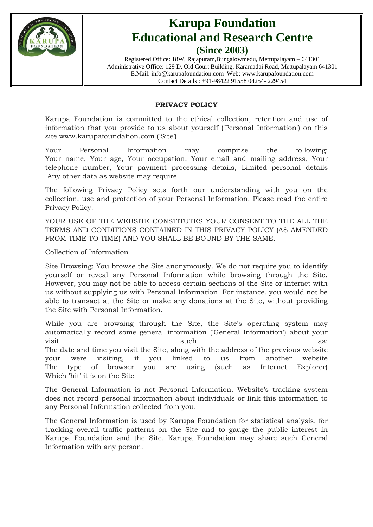

# **Karupa Foundation Educational and Research Centre (Since 2003)**

Registered Office: 18W, Rajapuram,Bungalowmedu, Mettupalayam – 641301 Administrative Office: 129 D. Old Court Building, Karamadai Road, Mettupalayam 641301 E.Mail: info@karupafoundation.com Web: www.karupafoundation.com Contact Details : +91-98422 91558 04254- 229454

### **PRIVACY POLICY**

Karupa Foundation is committed to the ethical collection, retention and use of information that you provide to us about yourself ('Personal Information') on this site www.karupafoundation.com ('Site').

Your Personal Information may comprise the following: Your name, Your age, Your occupation, Your email and mailing address, Your telephone number, Your payment processing details, Limited personal details Any other data as website may require

The following Privacy Policy sets forth our understanding with you on the collection, use and protection of your Personal Information. Please read the entire Privacy Policy.

YOUR USE OF THE WEBSITE CONSTITUTES YOUR CONSENT TO THE ALL THE TERMS AND CONDITIONS CONTAINED IN THIS PRIVACY POLICY (AS AMENDED FROM TIME TO TIME) AND YOU SHALL BE BOUND BY THE SAME.

Collection of Information

Site Browsing: You browse the Site anonymously. We do not require you to identify yourself or reveal any Personal Information while browsing through the Site. However, you may not be able to access certain sections of the Site or interact with us without supplying us with Personal Information. For instance, you would not be able to transact at the Site or make any donations at the Site, without providing the Site with Personal Information.

While you are browsing through the Site, the Site's operating system may automatically record some general information ('General Information') about your visit as:  $\qquad \qquad \text{such} \qquad \qquad \text{as:}$ The date and time you visit the Site, along with the address of the previous website your were visiting, if you linked to us from another website The type of browser you are using (such as Internet Explorer) Which 'hit' it is on the Site

The General Information is not Personal Information. Website's tracking system does not record personal information about individuals or link this information to any Personal Information collected from you.

The General Information is used by Karupa Foundation for statistical analysis, for tracking overall traffic patterns on the Site and to gauge the public interest in Karupa Foundation and the Site. Karupa Foundation may share such General Information with any person.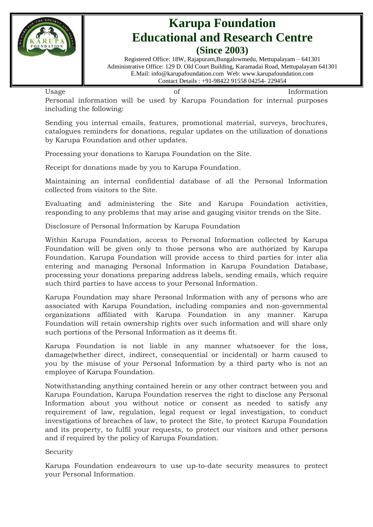

### **Karupa Foundation Educational and Research Centre (Since 2003)**

Registered Office: 18W, Rajapuram,Bungalowmedu, Mettupalayam – 641301 Administrative Office: 129 D. Old Court Building, Karamadai Road, Mettupalayam 641301 E.Mail: info@karupafoundation.com Web: www.karupafoundation.com Contact Details : +91-98422 91558 04254- 229454

| Usage                    |                                                                              |  |  |  |  |  |  | Information |  |  |
|--------------------------|------------------------------------------------------------------------------|--|--|--|--|--|--|-------------|--|--|
|                          | Personal information will be used by Karupa Foundation for internal purposes |  |  |  |  |  |  |             |  |  |
| including the following: |                                                                              |  |  |  |  |  |  |             |  |  |

Sending you internal emails, features, promotional material, surveys, brochures, catalogues reminders for donations, regular updates on the utilization of donations by Karupa Foundation and other updates.

Processing your donations to Karupa Foundation on the Site.

Receipt for donations made by you to Karupa Foundation.

Maintaining an internal confidential database of all the Personal Information collected from visitors to the Site.

Evaluating and administering the Site and Karupa Foundation activities, responding to any problems that may arise and gauging visitor trends on the Site.

Disclosure of Personal Information by Karupa Foundation

Within Karupa Foundation, access to Personal Information collected by Karupa Foundation will be given only to those persons who are authorized by Karupa Foundation. Karupa Foundation will provide access to third parties for inter alia entering and managing Personal Information in Karupa Foundation Database, processing your donations preparing address labels, sending emails, which require such third parties to have access to your Personal Information.

Karupa Foundation may share Personal Information with any of persons who are associated with Karupa Foundation, including companies and non-governmental organizations affiliated with Karupa Foundation in any manner. Karupa Foundation will retain ownership rights over such information and will share only such portions of the Personal Information as it deems fit.

Karupa Foundation is not liable in any manner whatsoever for the loss, damage(whether direct, indirect, consequential or incidental) or harm caused to you by the misuse of your Personal Information by a third party who is not an employee of Karupa Foundation.

Notwithstanding anything contained herein or any other contract between you and Karupa Foundation, Karupa Foundation reserves the right to disclose any Personal Information about you without notice or consent as needed to satisfy any requirement of law, regulation, legal request or legal investigation, to conduct investigations of breaches of law, to protect the Site, to protect Karupa Foundation and its property, to fulfil your requests, to protect our visitors and other persons and if required by the policy of Karupa Foundation.

Security

Karupa Foundation endeavours to use up-to-date security measures to protect your Personal Information.